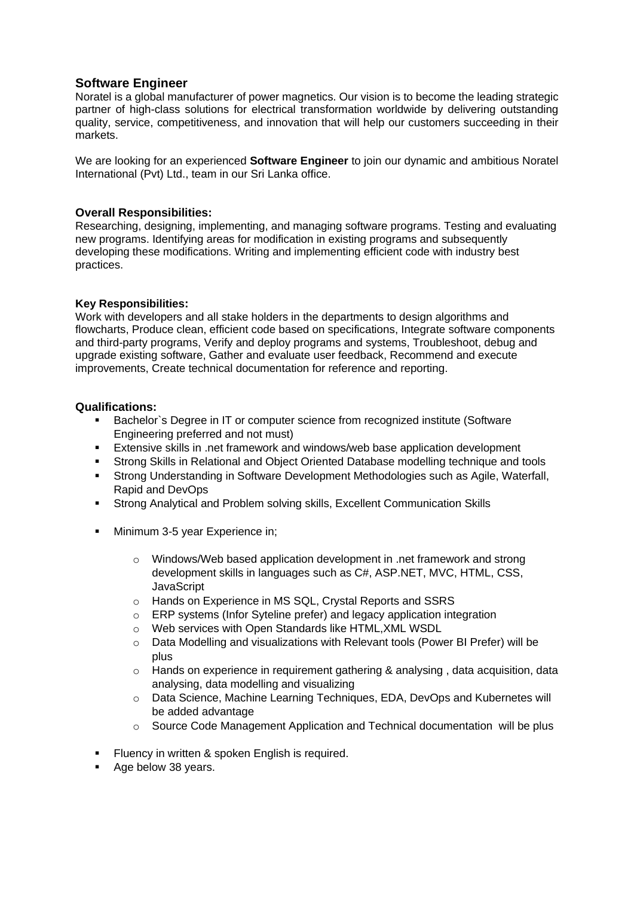# **Software Engineer**

Noratel is a global manufacturer of power magnetics. Our vision is to become the leading strategic partner of high-class solutions for electrical transformation worldwide by delivering outstanding quality, service, competitiveness, and innovation that will help our customers succeeding in their markets.

We are looking for an experienced **Software Engineer** to join our dynamic and ambitious Noratel International (Pvt) Ltd., team in our Sri Lanka office.

# **Overall Responsibilities:**

Researching, designing, implementing, and managing software programs. Testing and evaluating new programs. Identifying areas for modification in existing programs and subsequently developing these modifications. Writing and implementing efficient code with industry best practices.

# **Key Responsibilities:**

Work with developers and all stake holders in the departments to design algorithms and flowcharts, Produce clean, efficient code based on specifications, Integrate software components and third-party programs, Verify and deploy programs and systems, Troubleshoot, debug and upgrade existing software, Gather and evaluate user feedback, Recommend and execute improvements, Create technical documentation for reference and reporting.

# **Qualifications:**

- **■** Bachelor`s Degree in IT or computer science from recognized institute (Software Engineering preferred and not must)
- Extensive skills in .net framework and windows/web base application development
- **Strong Skills in Relational and Object Oriented Database modelling technique and tools**
- **EXECT Strong Understanding in Software Development Methodologies such as Agile, Waterfall,** Rapid and DevOps
- Strong Analytical and Problem solving skills, Excellent Communication Skills
- **■** Minimum 3-5 year Experience in;
	- o Windows/Web based application development in .net framework and strong development skills in languages such as C#, ASP.NET, MVC, HTML, CSS, **JavaScript**
	- o Hands on Experience in MS SQL, Crystal Reports and SSRS
	- o ERP systems (Infor Syteline prefer) and legacy application integration
	- o Web services with Open Standards like HTML,XML WSDL
	- $\circ$  Data Modelling and visualizations with Relevant tools (Power BI Prefer) will be plus
	- $\circ$  Hands on experience in requirement gathering & analysing, data acquisition, data analysing, data modelling and visualizing
	- o Data Science, Machine Learning Techniques, EDA, DevOps and Kubernetes will be added advantage
	- o Source Code Management Application and Technical documentation will be plus
- **EXECUTE:** Fluency in written & spoken English is required.
- Age below 38 years.